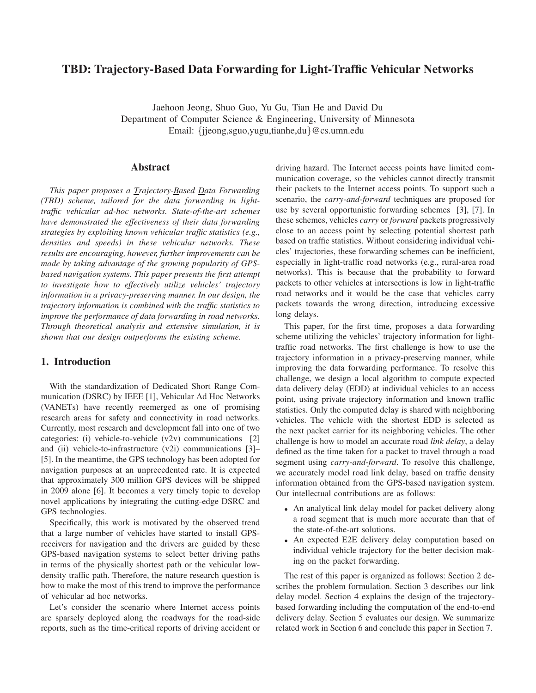# **TBD: Trajectory-Based Data Forwarding for Light-Traffic Vehicular Networks**

Jaehoon Jeong, Shuo Guo, Yu Gu, Tian He and David Du Department of Computer Science & Engineering, University of Minnesota Email: {jjeong,sguo,yugu,tianhe,du}@cs.umn.edu

### **Abstract**

*This paper proposes a Trajectory-Based Data Forwarding (TBD) scheme, tailored for the data forwarding in lighttraffic vehicular ad-hoc networks. State-of-the-art schemes have demonstrated the effectiveness of their data forwarding strategies by exploiting known vehicular traffic statistics (e.g., densities and speeds) in these vehicular networks. These results are encouraging, however, further improvements can be made by taking advantage of the growing popularity of GPSbased navigation systems. This paper presents the first attempt to investigate how to effectively utilize vehicles' trajectory information in a privacy-preserving manner. In our design, the trajectory information is combined with the traffic statistics to improve the performance of data forwarding in road networks. Through theoretical analysis and extensive simulation, it is shown that our design outperforms the existing scheme.*

### **1. Introduction**

With the standardization of Dedicated Short Range Communication (DSRC) by IEEE [1], Vehicular Ad Hoc Networks (VANETs) have recently reemerged as one of promising research areas for safety and connectivity in road networks. Currently, most research and development fall into one of two categories: (i) vehicle-to-vehicle  $(v2v)$  communications [2] and (ii) vehicle-to-infrastructure  $(v2i)$  communications [3]-[5]. In the meantime, the GPS technology has been adopted for navigation purposes at an unprecedented rate. It is expected that approximately 300 million GPS devices will be shipped in 2009 alone [6]. It becomes a very timely topic to develop novel applications by integrating the cutting-edge DSRC and GPS technologies.

Specifically, this work is motivated by the observed trend that a large number of vehicles have started to install GPSreceivers for navigation and the drivers are guided by these GPS-based navigation systems to select better driving paths in terms of the physically shortest path or the vehicular lowdensity traffic path. Therefore, the nature research question is how to make the most of this trend to improve the performance of vehicular ad hoc networks.

Let's consider the scenario where Internet access points are sparsely deployed along the roadways for the road-side reports, such as the time-critical reports of driving accident or driving hazard. The Internet access points have limited communication coverage, so the vehicles cannot directly transmit their packets to the Internet access points. To support such a scenario, the *carry-and-forward* techniques are proposed for use by several opportunistic forwarding schemes [3], [7]. In these schemes, vehicles *carry* or *forward* packets progressively close to an access point by selecting potential shortest path based on traffic statistics. Without considering individual vehicles' trajectories, these forwarding schemes can be inefficient, especially in light-traffic road networks (e.g., rural-area road networks). This is because that the probability to forward packets to other vehicles at intersections is low in light-traffic road networks and it would be the case that vehicles carry packets towards the wrong direction, introducing excessive long delays.

This paper, for the first time, proposes a data forwarding scheme utilizing the vehicles' trajectory information for lighttraffic road networks. The first challenge is how to use the trajectory information in a privacy-preserving manner, while improving the data forwarding performance. To resolve this challenge, we design a local algorithm to compute expected data delivery delay (EDD) at individual vehicles to an access point, using private trajectory information and known traffic statistics. Only the computed delay is shared with neighboring vehicles. The vehicle with the shortest EDD is selected as the next packet carrier for its neighboring vehicles. The other challenge is how to model an accurate road *link delay*, a delay defined as the time taken for a packet to travel through a road segment using *carry-and-forward*. To resolve this challenge, we accurately model road link delay, based on traffic density information obtained from the GPS-based navigation system. Our intellectual contributions are as follows:

- An analytical link delay model for packet delivery along a road segment that is much more accurate than that of the state-of-the-art solutions.
- An expected E2E delivery delay computation based on individual vehicle trajectory for the better decision making on the packet forwarding.

The rest of this paper is organized as follows: Section 2 describes the problem formulation. Section 3 describes our link delay model. Section 4 explains the design of the trajectorybased forwarding including the computation of the end-to-end delivery delay. Section 5 evaluates our design. We summarize related work in Section 6 and conclude this paper in Section 7.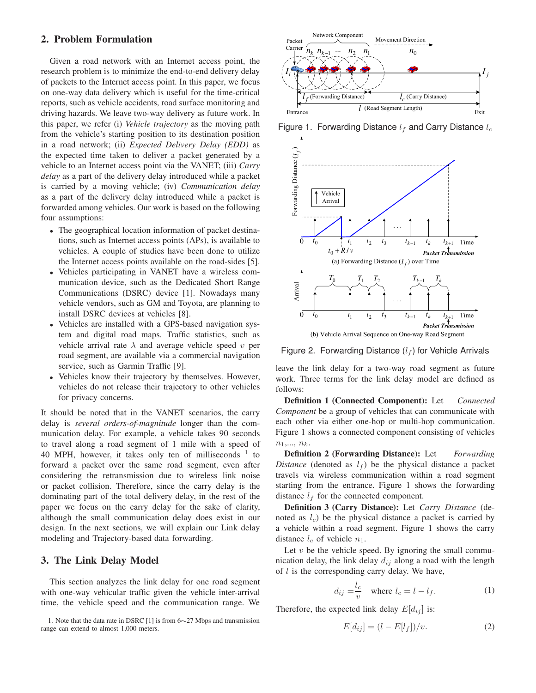#### **2. Problem Formulation**

Given a road network with an Internet access point, the research problem is to minimize the end-to-end delivery delay of packets to the Internet access point. In this paper, we focus on one-way data delivery which is useful for the time-critical reports, such as vehicle accidents, road surface monitoring and driving hazards. We leave two-way delivery as future work. In this paper, we refer (i) *Vehicle trajectory* as the moving path from the vehicle's starting position to its destination position in a road network; (ii) *Expected Delivery Delay (EDD)* as the expected time taken to deliver a packet generated by a vehicle to an Internet access point via the VANET; (iii) *Carry delay* as a part of the delivery delay introduced while a packet is carried by a moving vehicle; (iv) *Communication delay* as a part of the delivery delay introduced while a packet is forwarded among vehicles. Our work is based on the following four assumptions:

- The geographical location information of packet destinations, such as Internet access points (APs), is available to vehicles. A couple of studies have been done to utilize the Internet access points available on the road-sides [5].
- Vehicles participating in VANET have a wireless communication device, such as the Dedicated Short Range Communications (DSRC) device [1]. Nowadays many vehicle vendors, such as GM and Toyota, are planning to install DSRC devices at vehicles [8].
- Vehicles are installed with a GPS-based navigation system and digital road maps. Traffic statistics, such as vehicle arrival rate  $\lambda$  and average vehicle speed v per road segment, are available via a commercial navigation service, such as Garmin Traffic [9].
- Vehicles know their trajectory by themselves. However, vehicles do not release their trajectory to other vehicles for privacy concerns.

It should be noted that in the VANET scenarios, the carry delay is *several orders-of-magnitude* longer than the communication delay. For example, a vehicle takes 90 seconds to travel along a road segment of 1 mile with a speed of 40 MPH, however, it takes only ten of milliseconds  $1$  to forward a packet over the same road segment, even after considering the retransmission due to wireless link noise or packet collision. Therefore, since the carry delay is the dominating part of the total delivery delay, in the rest of the paper we focus on the carry delay for the sake of clarity, although the small communication delay does exist in our design. In the next sections, we will explain our Link delay modeling and Trajectory-based data forwarding.

### **3. The Link Delay Model**

This section analyzes the link delay for one road segment with one-way vehicular traffic given the vehicle inter-arrival time, the vehicle speed and the communication range. We

1. Note that the data rate in DSRC [1] is from 6∼27 Mbps and transmission range can extend to almost 1,000 meters.



Figure 1. Forwarding Distance  $l_f$  and Carry Distance  $l_c$ 



Figure 2. Forwarding Distance  $(l_f)$  for Vehicle Arrivals

leave the link delay for a two-way road segment as future work. Three terms for the link delay model are defined as follows:

**Definition 1 (Connected Component):** Let *Connected Component* be a group of vehicles that can communicate with each other via either one-hop or multi-hop communication. Figure 1 shows a connected component consisting of vehicles  $n_1,..., n_k.$ 

**Definition 2 (Forwarding Distance):** Let *Forwarding Distance* (denoted as  $l_f$ ) be the physical distance a packet travels via wireless communication within a road segment starting from the entrance. Figure 1 shows the forwarding distance  $l_f$  for the connected component.

**Definition 3 (Carry Distance):** Let *Carry Distance* (denoted as  $l_c$ ) be the physical distance a packet is carried by a vehicle within a road segment. Figure 1 shows the carry distance  $l_c$  of vehicle  $n_1$ .

Let  $v$  be the vehicle speed. By ignoring the small communication delay, the link delay  $d_{ij}$  along a road with the length of  $l$  is the corresponding carry delay. We have,

$$
d_{ij} = \frac{l_c}{v} \quad \text{where } l_c = l - l_f. \tag{1}
$$

Therefore, the expected link delay  $E[d_{ij}]$  is:

$$
E[d_{ij}] = (l - E[l_f])/v.
$$
\n<sup>(2)</sup>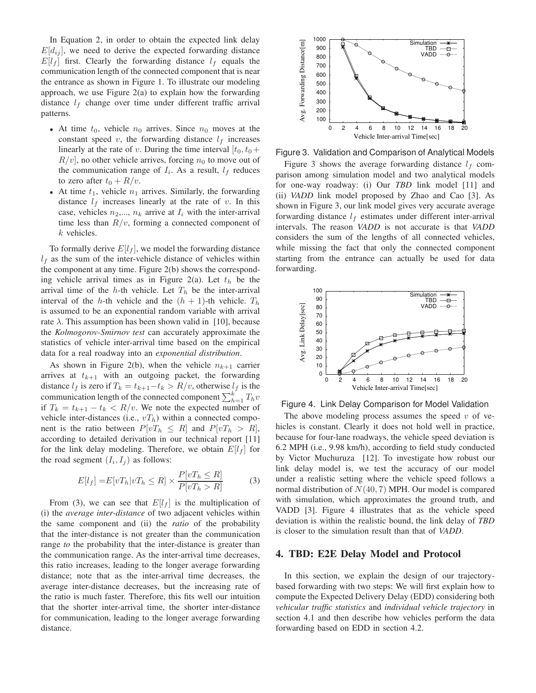In Equation 2, in order to obtain the expected link delay  $E[d_{ij}]$ , we need to derive the expected forwarding distance  $E[l_f]$  first. Clearly the forwarding distance  $l_f$  equals the communication length of the connected component that is near the entrance as shown in Figure 1. To illustrate our modeling approach, we use Figure 2(a) to explain how the forwarding distance  $l_f$  change over time under different traffic arrival patterns.

- At time  $t_0$ , vehicle  $n_0$  arrives. Since  $n_0$  moves at the constant speed  $v$ , the forwarding distance  $l_f$  increases linearly at the rate of v. During the time interval  $[t_0, t_0 +$  $R/v$ , no other vehicle arrives, forcing  $n_0$  to move out of the communication range of  $I_i$ . As a result,  $l_f$  reduces to zero after  $t_0 + R/v$ .
- At time  $t_1$ , vehicle  $n_1$  arrives. Similarly, the forwarding distance  $l_f$  increases linearly at the rate of v. In this case, vehicles  $n_2,..., n_k$  arrive at  $I_i$  with the inter-arrival time less than  $R/v$ , forming a connected component of  $k$  vehicles.

To formally derive  $E[l_f]$ , we model the forwarding distance  $l_f$  as the sum of the inter-vehicle distance of vehicles within the component at any time. Figure 2(b) shows the corresponding vehicle arrival times as in Figure 2(a). Let  $t<sub>h</sub>$  be the arrival time of the *h*-th vehicle. Let  $T<sub>h</sub>$  be the inter-arrival interval of the h-th vehicle and the  $(h + 1)$ -th vehicle.  $T_h$ is assumed to be an exponential random variable with arrival rate  $\lambda$ . This assumption has been shown valid in [10], because the *Kolmogorov-Smirnov test* can accurately approximate the statistics of vehicle inter-arrival time based on the empirical data for a real roadway into an *exponential distribution*.

As shown in Figure 2(b), when the vehicle  $n_{k+1}$  carrier arrives at  $t_{k+1}$  with an outgoing packet, the forwarding distance  $l_f$  is zero if  $T_k = t_{k+1}-t_k > R/v$ , otherwise  $l_f$  is the communication length of the connected component  $\sum_{h=1}^{k} T_h v$ if  $T_k = t_{k+1} - t_k < R/v$ . We note the expected number of vehicle inter-distances (i.e.,  $vT_h$ ) within a connected component is the ratio between  $P[vT_h \leq R]$  and  $P[vT_h > R]$ , according to detailed derivation in our technical report [11] for the link delay modeling. Therefore, we obtain  $E[l_f]$  for the road segment  $(I_i, I_j)$  as follows:

$$
E[l_f] = E[vT_h|vT_h \le R] \times \frac{P[vT_h \le R]}{P[vT_h > R]}
$$
(3)

From (3), we can see that  $E[l_f]$  is the multiplication of (i) the *average inter-distance* of two adjacent vehicles within the same component and (ii) the *ratio* of the probability that the inter-distance is not greater than the communication range *to* the probability that the inter-distance is greater than the communication range. As the inter-arrival time decreases, this ratio increases, leading to the longer average forwarding distance; note that as the inter-arrival time decreases, the average inter-distance decreases, but the increasing rate of the ratio is much faster. Therefore, this fits well our intuition that the shorter inter-arrival time, the shorter inter-distance for communication, leading to the longer average forwarding distance.



Figure 3. Validation and Comparison of Analytical Models

Figure 3 shows the average forwarding distance  $l_f$  comparison among simulation model and two analytical models for one-way roadway: (i) Our *TBD* link model [11] and (ii) *VADD* link model proposed by Zhao and Cao [3]. As shown in Figure 3, our link model gives very accurate average forwarding distance  $l_f$  estimates under different inter-arrival intervals. The reason *VADD* is not accurate is that *VADD* considers the sum of the lengths of all connected vehicles, while missing the fact that only the connected component starting from the entrance can actually be used for data forwarding.



Figure 4. Link Delay Comparison for Model Validation

The above modeling process assumes the speed  $v$  of vehicles is constant. Clearly it does not hold well in practice, because for four-lane roadways, the vehicle speed deviation is 6.2 MPH (i.e., 9.98 km/h), according to field study conducted by Victor Muchuruza [12]. To investigate how robust our link delay model is, we test the accuracy of our model under a realistic setting where the vehicle speed follows a normal distribution of  $N(40, 7)$  MPH. Our model is compared with simulation, which approximates the ground truth, and VADD [3]. Figure 4 illustrates that as the vehicle speed deviation is within the realistic bound, the link delay of *TBD* is closer to the simulation result than that of *VADD*.

#### **4. TBD: E2E Delay Model and Protocol**

In this section, we explain the design of our trajectorybased forwarding with two steps: We will first explain how to compute the Expected Delivery Delay (EDD) considering both *vehicular traffic statistics* and *individual vehicle trajectory* in section 4.1 and then describe how vehicles perform the data forwarding based on EDD in section 4.2.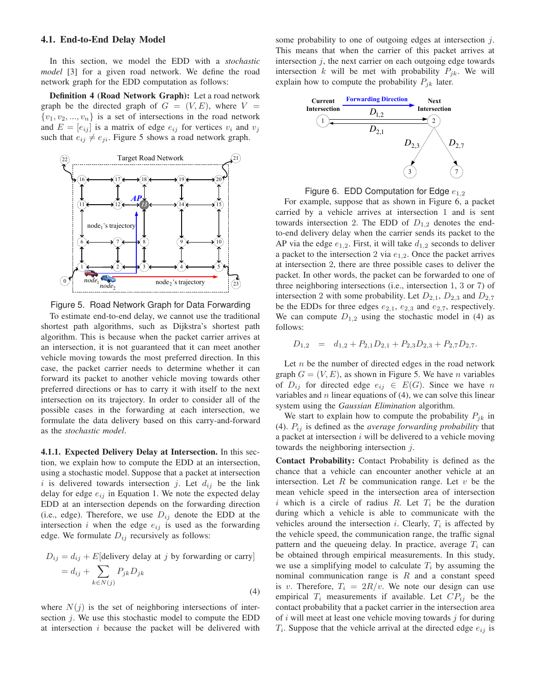#### **4.1. End-to-End Delay Model**

In this section, we model the EDD with a *stochastic model* [3] for a given road network. We define the road network graph for the EDD computation as follows:

**Definition 4 (Road Network Graph):** Let a road network graph be the directed graph of  $G = (V, E)$ , where  $V =$  $\{v_1, v_2, ..., v_n\}$  is a set of intersections in the road network and  $E = [e_{ij}]$  is a matrix of edge  $e_{ij}$  for vertices  $v_i$  and  $v_j$ such that  $e_{ij} \neq e_{ji}$ . Figure 5 shows a road network graph.



Figure 5. Road Network Graph for Data Forwarding

To estimate end-to-end delay, we cannot use the traditional shortest path algorithms, such as Dijkstra's shortest path algorithm. This is because when the packet carrier arrives at an intersection, it is not guaranteed that it can meet another vehicle moving towards the most preferred direction. In this case, the packet carrier needs to determine whether it can forward its packet to another vehicle moving towards other preferred directions or has to carry it with itself to the next intersection on its trajectory. In order to consider all of the possible cases in the forwarding at each intersection, we formulate the data delivery based on this carry-and-forward as the *stochastic model*.

**4.1.1. Expected Delivery Delay at Intersection.** In this section, we explain how to compute the EDD at an intersection, using a stochastic model. Suppose that a packet at intersection i is delivered towards intersection j. Let  $d_{ij}$  be the link delay for edge  $e_{ij}$  in Equation 1. We note the expected delay EDD at an intersection depends on the forwarding direction (i.e., edge). Therefore, we use  $D_{ij}$  denote the EDD at the intersection i when the edge  $e_{ij}$  is used as the forwarding edge. We formulate  $D_{ij}$  recursively as follows:

$$
D_{ij} = d_{ij} + E[\text{delivery delay at } j \text{ by forwarding or carry}]
$$

$$
= d_{ij} + \sum_{k \in N(j)} P_{jk} D_{jk}
$$
(4)

where  $N(j)$  is the set of neighboring intersections of intersection j. We use this stochastic model to compute the EDD at intersection  $i$  because the packet will be delivered with some probability to one of outgoing edges at intersection j. This means that when the carrier of this packet arrives at intersection  $j$ , the next carrier on each outgoing edge towards intersection k will be met with probability  $P_{jk}$ . We will explain how to compute the probability  $P_{jk}$  later.



Figure 6. EDD Computation for Edge  $e_{1,2}$ 

For example, suppose that as shown in Figure 6, a packet carried by a vehicle arrives at intersection 1 and is sent towards intersection 2. The EDD of  $D_{1,2}$  denotes the endto-end delivery delay when the carrier sends its packet to the AP via the edge  $e_{1,2}$ . First, it will take  $d_{1,2}$  seconds to deliver a packet to the intersection 2 via  $e_{1,2}$ . Once the packet arrives at intersection 2, there are three possible cases to deliver the packet. In other words, the packet can be forwarded to one of three neighboring intersections (i.e., intersection 1, 3 or 7) of intersection 2 with some probability. Let  $D_{2,1}$ ,  $D_{2,3}$  and  $D_{2,7}$ be the EDDs for three edges  $e_{2,1}$ ,  $e_{2,3}$  and  $e_{2,7}$ , respectively. We can compute  $D_{1,2}$  using the stochastic model in (4) as follows:

$$
D_{1,2} = d_{1,2} + P_{2,1}D_{2,1} + P_{2,3}D_{2,3} + P_{2,7}D_{2,7}.
$$

Let  $n$  be the number of directed edges in the road network graph  $G = (V, E)$ , as shown in Figure 5. We have *n* variables of  $D_{ij}$  for directed edge  $e_{ij} \in E(G)$ . Since we have n variables and  $n$  linear equations of  $(4)$ , we can solve this linear system using the *Gaussian Elimination* algorithm.

We start to explain how to compute the probability  $P_{jk}$  in (4).  $P_{ij}$  is defined as the *average forwarding probability* that a packet at intersection  $i$  will be delivered to a vehicle moving towards the neighboring intersection  $j$ .

**Contact Probability:** Contact Probability is defined as the chance that a vehicle can encounter another vehicle at an intersection. Let  $R$  be communication range. Let  $v$  be the mean vehicle speed in the intersection area of intersection i which is a circle of radius R. Let  $T_i$  be the duration during which a vehicle is able to communicate with the vehicles around the intersection *i*. Clearly,  $T_i$  is affected by the vehicle speed, the communication range, the traffic signal pattern and the queueing delay. In practice, average  $T_i$  can be obtained through empirical measurements. In this study, we use a simplifying model to calculate  $T<sub>i</sub>$  by assuming the nominal communication range is  $R$  and a constant speed is v. Therefore,  $T_i = 2R/v$ . We note our design can use empirical  $T_i$  measurements if available. Let  $CP_{ij}$  be the contact probability that a packet carrier in the intersection area of  $i$  will meet at least one vehicle moving towards  $j$  for during  $T_i$ . Suppose that the vehicle arrival at the directed edge  $e_{ij}$  is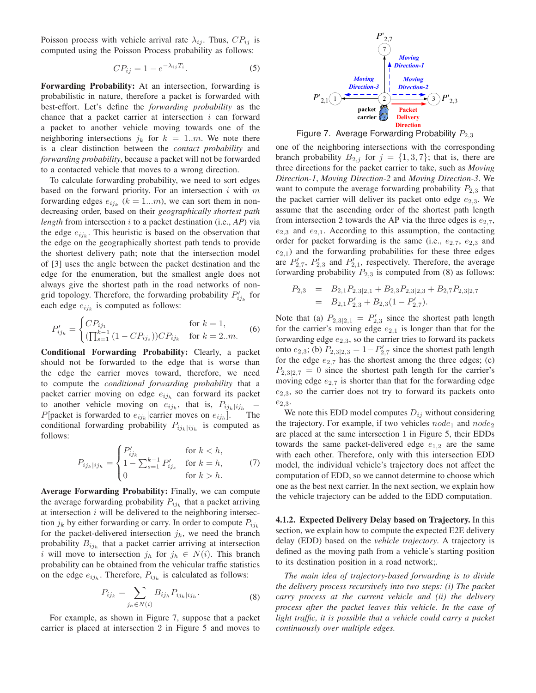Poisson process with vehicle arrival rate  $\lambda_{ij}$ . Thus,  $CP_{ij}$  is computed using the Poisson Process probability as follows:

$$
CP_{ij} = 1 - e^{-\lambda_{ij}T_i}.
$$
 (5)

**Forwarding Probability:** At an intersection, forwarding is probabilistic in nature, therefore a packet is forwarded with best-effort. Let's define the *forwarding probability* as the chance that a packet carrier at intersection  $i$  can forward a packet to another vehicle moving towards one of the neighboring intersections  $j_k$  for  $k = 1..m$ . We note there is a clear distinction between the *contact probability* and *forwarding probability*, because a packet will not be forwarded to a contacted vehicle that moves to a wrong direction.

To calculate forwarding probability, we need to sort edges based on the forward priority. For an intersection  $i$  with  $m$ forwarding edges  $e_{ij_k}$  ( $k = 1...m$ ), we can sort them in nondecreasing order, based on their *geographically shortest path length* from intersection i to a packet destination (i.e., *AP*) via the edge  $e_{ijk}$ . This heuristic is based on the observation that the edge on the geographically shortest path tends to provide the shortest delivery path; note that the intersection model of [3] uses the angle between the packet destination and the edge for the enumeration, but the smallest angle does not always give the shortest path in the road networks of nongrid topology. Therefore, the forwarding probability  $P'_{ij_k}$  for each edge  $e_{ijk}$  is computed as follows:

$$
P'_{ij_k} = \begin{cases} CP_{ij_1} & \text{for } k = 1, \\ (\prod_{s=1}^{k-1} (1 - CP_{ij_s}))CP_{ij_k} & \text{for } k = 2..m. \end{cases}
$$
 (6)

**Conditional Forwarding Probability:** Clearly, a packet should not be forwarded to the edge that is worse than the edge the carrier moves toward, therefore, we need to compute the *conditional forwarding probability* that a packet carrier moving on edge  $e_{ijh}$  can forward its packet to another vehicle moving on  $e_{ij_k}$ , that is,  $P_{ij_k}|_{ij_h}$  = P[packet is forwarded to  $e_{ij_k}$  | carrier moves on  $e_{ij_k}$ ]. The conditional forwarding probability  $P_{ijk}|i j_h$  is computed as follows:

$$
P_{ij_k|ij_h} = \begin{cases} P'_{ij_k} & \text{for } k < h, \\ 1 - \sum_{s=1}^{k-1} P'_{ij_s} & \text{for } k = h, \\ 0 & \text{for } k > h. \end{cases}
$$
 (7)

**Average Forwarding Probability:** Finally, we can compute the average forwarding probability  $P_{ijk}$  that a packet arriving at intersection  $i$  will be delivered to the neighboring intersection  $j_k$  by either forwarding or carry. In order to compute  $P_{ij_k}$ for the packet-delivered intersection  $j_k$ , we need the branch probability  $B_{ijh}$  that a packet carrier arriving at intersection i will move to intersection  $j_h$  for  $j_h \in N(i)$ . This branch probability can be obtained from the vehicular traffic statistics on the edge  $e_{ijh}$ . Therefore,  $P_{ijh}$  is calculated as follows:

$$
P_{ij_k} = \sum_{j_h \in N(i)} B_{ij_h} P_{ij_k | i j_h}.
$$
 (8)

For example, as shown in Figure 7, suppose that a packet carrier is placed at intersection 2 in Figure 5 and moves to



Figure 7. Average Forwarding Probability  $P_{2,3}$ 

one of the neighboring intersections with the corresponding branch probability  $B_{2,j}$  for  $j = \{1,3,7\}$ ; that is, there are three directions for the packet carrier to take, such as *Moving Direction-1*, *Moving Direction-2* and *Moving Direction-3*. We want to compute the average forwarding probability  $P_{2,3}$  that the packet carrier will deliver its packet onto edge  $e_{2,3}$ . We assume that the ascending order of the shortest path length from intersection 2 towards the AP via the three edges is  $e_{2,7}$ ,  $e_{2,3}$  and  $e_{2,1}$ . According to this assumption, the contacting order for packet forwarding is the same (i.e.,  $e_{2,7}$ ,  $e_{2,3}$  and  $e_{2,1}$ ) and the forwarding probabilities for these three edges are  $P'_{2,7}$ ,  $P'_{2,3}$  and  $P'_{2,1}$ , respectively. Therefore, the average forwarding probability  $P_{2,3}$  is computed from (8) as follows:

$$
P_{2,3} = B_{2,1}P_{2,3|2,1} + B_{2,3}P_{2,3|2,3} + B_{2,7}P_{2,3|2,7}
$$
  
=  $B_{2,1}P'_{2,3} + B_{2,3}(1 - P'_{2,7}).$ 

Note that (a)  $P_{2,3|2,1} = P'_{2,3}$  since the shortest path length for the carrier's moving edge  $e_{2,1}$  is longer than that for the forwarding edge  $e_{2,3}$ , so the carrier tries to forward its packets onto  $e_{2,3}$ ; (b)  $P_{2,3|2,3} = 1 - P'_{2,7}$  since the shortest path length for the edge  $e_{2,7}$  has the shortest among the three edges; (c)  $P_{2,3|2,7} = 0$  since the shortest path length for the carrier's moving edge  $e_{2,7}$  is shorter than that for the forwarding edge  $e_{2,3}$ , so the carrier does not try to forward its packets onto  $e_{2,3}.$ 

We note this EDD model computes  $D_{ij}$  without considering the trajectory. For example, if two vehicles  $node_1$  and  $node_2$ are placed at the same intersection 1 in Figure 5, their EDDs towards the same packet-delivered edge  $e_{1,2}$  are the same with each other. Therefore, only with this intersection EDD model, the individual vehicle's trajectory does not affect the computation of EDD, so we cannot determine to choose which one as the best next carrier. In the next section, we explain how the vehicle trajectory can be added to the EDD computation.

**4.1.2. Expected Delivery Delay based on Trajectory.** In this section, we explain how to compute the expected E2E delivery delay (EDD) based on the *vehicle trajectory*. A trajectory is defined as the moving path from a vehicle's starting position to its destination position in a road network;.

*The main idea of trajectory-based forwarding is to divide the delivery process recursively into two steps: (i) The packet carry process at the current vehicle and (ii) the delivery process after the packet leaves this vehicle. In the case of light traffic, it is possible that a vehicle could carry a packet continuously over multiple edges.*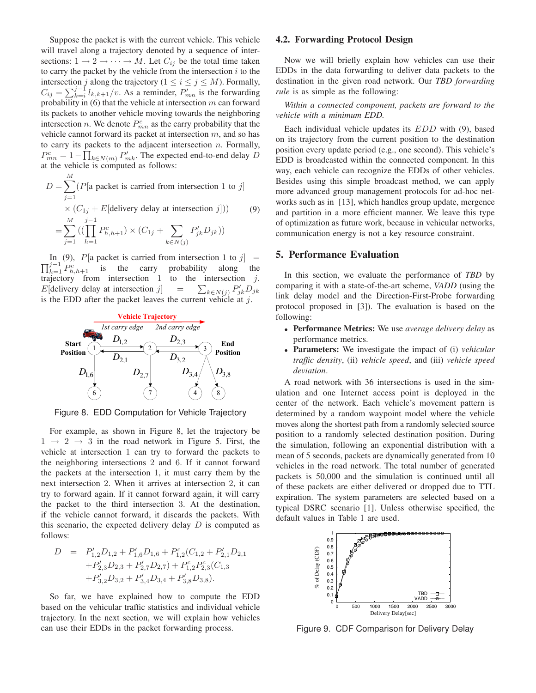Suppose the packet is with the current vehicle. This vehicle will travel along a trajectory denoted by a sequence of intersections:  $1 \rightarrow 2 \rightarrow \cdots \rightarrow M$ . Let  $C_{ij}$  be the total time taken to carry the packet by the vehicle from the intersection  $i$  to the intersection j along the trajectory ( $1 \le i \le j \le M$ ). Formally,  $C_{ij} = \sum_{k=i}^{j-1} l_{k,k+1}/v$ . As a reminder,  $P'_{mn}$  is the forwarding probability in  $(6)$  that the vehicle at intersection m can forward its packets to another vehicle moving towards the neighboring intersection *n*. We denote  $P_{mn}^c$  as the carry probability that the vehicle cannot forward its packet at intersection  $m$ , and so has to carry its packets to the adjacent intersection  $n$ . Formally,  $P_{mn}^c = 1 - \prod_{k \in N(m)} P'_{mk}$ . The expected end-to-end delay D at the vehicle is computed as follows:

$$
D = \sum_{j=1}^{M} (P[\text{a packet is carried from intersection 1 to } j]
$$
  
×  $(C_{1j} + E[\text{delivery delay at intersection } j]))$  (9)  

$$
= \sum_{j=1}^{M} ((\prod_{h=1}^{j-1} P_{h,h+1}^c) \times (C_{1j} + \sum_{k \in N(j)} P_{jk}^{\prime} D_{jk}))
$$

 $\prod_{h=1}^{j-1} P_{h,h+1}^c$  is the carry probability along the In (9),  $P$ [a packet is carried from intersection 1 to j] = trajectory from intersection  $1$  to the intersection  $j$ .  $E[$ delivery delay at intersection j  $] =$  $_{k\in N(j)} P'_{jk} D_{jk}$ is the EDD after the packet leaves the current vehicle at  $j$ .



Figure 8. EDD Computation for Vehicle Trajectory

For example, as shown in Figure 8, let the trajectory be  $1 \rightarrow 2 \rightarrow 3$  in the road network in Figure 5. First, the vehicle at intersection 1 can try to forward the packets to the neighboring intersections 2 and 6. If it cannot forward the packets at the intersection 1, it must carry them by the next intersection 2. When it arrives at intersection 2, it can try to forward again. If it cannot forward again, it will carry the packet to the third intersection 3. At the destination, if the vehicle cannot forward, it discards the packets. With this scenario, the expected delivery delay  $D$  is computed as follows:

$$
D = P'_{1,2}D_{1,2} + P'_{1,6}D_{1,6} + P^c_{1,2}(C_{1,2} + P'_{2,1}D_{2,1}
$$
  
+ $P'_{2,3}D_{2,3} + P'_{2,7}D_{2,7}) + P^c_{1,2}P^c_{2,3}(C_{1,3}$   
+ $P'_{3,2}D_{3,2} + P'_{3,4}D_{3,4} + P'_{3,8}D_{3,8}).$ 

So far, we have explained how to compute the EDD based on the vehicular traffic statistics and individual vehicle trajectory. In the next section, we will explain how vehicles can use their EDDs in the packet forwarding process.

#### **4.2. Forwarding Protocol Design**

Now we will briefly explain how vehicles can use their EDDs in the data forwarding to deliver data packets to the destination in the given road network. Our *TBD forwarding rule* is as simple as the following:

*Within a connected component, packets are forward to the vehicle with a minimum EDD.*

Each individual vehicle updates its EDD with (9), based on its trajectory from the current position to the destination position every update period (e.g., one second). This vehicle's EDD is broadcasted within the connected component. In this way, each vehicle can recognize the EDDs of other vehicles. Besides using this simple broadcast method, we can apply more advanced group management protocols for ad-hoc networks such as in [13], which handles group update, mergence and partition in a more efficient manner. We leave this type of optimization as future work, because in vehicular networks, communication energy is not a key resource constraint.

# **5. Performance Evaluation**

In this section, we evaluate the performance of *TBD* by comparing it with a state-of-the-art scheme, *VADD* (using the link delay model and the Direction-First-Probe forwarding protocol proposed in [3]). The evaluation is based on the following:

- **Performance Metrics:** We use *average delivery delay* as performance metrics.
- **Parameters:** We investigate the impact of (i) *vehicular traffic density*, (ii) *vehicle speed*, and (iii) *vehicle speed deviation*.

A road network with 36 intersections is used in the simulation and one Internet access point is deployed in the center of the network. Each vehicle's movement pattern is determined by a random waypoint model where the vehicle moves along the shortest path from a randomly selected source position to a randomly selected destination position. During the simulation, following an exponential distribution with a mean of 5 seconds, packets are dynamically generated from 10 vehicles in the road network. The total number of generated packets is 50,000 and the simulation is continued until all of these packets are either delivered or dropped due to TTL expiration. The system parameters are selected based on a typical DSRC scenario [1]. Unless otherwise specified, the default values in Table 1 are used.



Figure 9. CDF Comparison for Delivery Delay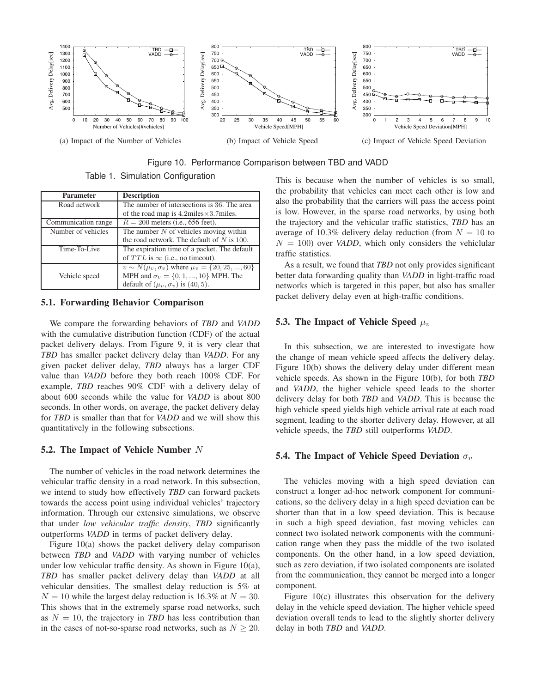

Figure 10. Performance Comparison between TBD and VADD

Table 1. Simulation Configuration

| <b>Parameter</b>    | <b>Description</b>                                           |
|---------------------|--------------------------------------------------------------|
| Road network        | The number of intersections is 36. The area                  |
|                     | of the road map is $4.2$ miles $\times$ 3.7miles.            |
| Communication range | $R = 200$ meters (i.e., 656 feet).                           |
| Number of vehicles  | The number $N$ of vehicles moving within                     |
|                     | the road network. The default of $N$ is 100.                 |
| Time-To-Live        | The expiration time of a packet. The default                 |
|                     | of $TTL$ is $\infty$ (i.e., no timeout).                     |
|                     | $v \sim N(\mu_v, \sigma_v)$ where $\mu_v = \{20, 25, , 60\}$ |
| Vehicle speed       | MPH and $\sigma_v = \{0, 1, , 10\}$ MPH. The                 |
|                     | default of $(\mu_v, \sigma_v)$ is (40, 5).                   |

### **5.1. Forwarding Behavior Comparison**

We compare the forwarding behaviors of *TBD* and *VADD* with the cumulative distribution function (CDF) of the actual packet delivery delays. From Figure 9, it is very clear that *TBD* has smaller packet delivery delay than *VADD*. For any given packet deliver delay, *TBD* always has a larger CDF value than *VADD* before they both reach 100% CDF. For example, *TBD* reaches 90% CDF with a delivery delay of about 600 seconds while the value for *VADD* is about 800 seconds. In other words, on average, the packet delivery delay for *TBD* is smaller than that for *VADD* and we will show this quantitatively in the following subsections.

#### **5.2. The Impact of Vehicle Number** N

The number of vehicles in the road network determines the vehicular traffic density in a road network. In this subsection, we intend to study how effectively *TBD* can forward packets towards the access point using individual vehicles' trajectory information. Through our extensive simulations, we observe that under *low vehicular traffic density*, *TBD* significantly outperforms *VADD* in terms of packet delivery delay.

Figure 10(a) shows the packet delivery delay comparison between *TBD* and *VADD* with varying number of vehicles under low vehicular traffic density. As shown in Figure 10(a), *TBD* has smaller packet delivery delay than *VADD* at all vehicular densities. The smallest delay reduction is 5% at  $N = 10$  while the largest delay reduction is 16.3% at  $N = 30$ . This shows that in the extremely sparse road networks, such as  $N = 10$ , the trajectory in *TBD* has less contribution than in the cases of not-so-sparse road networks, such as  $N \geq 20$ . This is because when the number of vehicles is so small, the probability that vehicles can meet each other is low and also the probability that the carriers will pass the access point is low. However, in the sparse road networks, by using both the trajectory and the vehicular traffic statistics, *TBD* has an average of 10.3% delivery delay reduction (from  $N = 10$  to  $N = 100$ ) over *VADD*, which only considers the vehiclular traffic statistics.

As a result, we found that *TBD* not only provides significant better data forwarding quality than *VADD* in light-traffic road networks which is targeted in this paper, but also has smaller packet delivery delay even at high-traffic conditions.

# **5.3. The Impact of Vehicle Speed**  $\mu_v$

In this subsection, we are interested to investigate how the change of mean vehicle speed affects the delivery delay. Figure 10(b) shows the delivery delay under different mean vehicle speeds. As shown in the Figure 10(b), for both *TBD* and *VADD*, the higher vehicle speed leads to the shorter delivery delay for both *TBD* and *VADD*. This is because the high vehicle speed yields high vehicle arrival rate at each road segment, leading to the shorter delivery delay. However, at all vehicle speeds, the *TBD* still outperforms *VADD*.

#### **5.4. The Impact of Vehicle Speed Deviation**  $\sigma_v$

The vehicles moving with a high speed deviation can construct a longer ad-hoc network component for communications, so the delivery delay in a high speed deviation can be shorter than that in a low speed deviation. This is because in such a high speed deviation, fast moving vehicles can connect two isolated network components with the communication range when they pass the middle of the two isolated components. On the other hand, in a low speed deviation, such as zero deviation, if two isolated components are isolated from the communication, they cannot be merged into a longer component.

Figure 10(c) illustrates this observation for the delivery delay in the vehicle speed deviation. The higher vehicle speed deviation overall tends to lead to the slightly shorter delivery delay in both *TBD* and *VADD*.